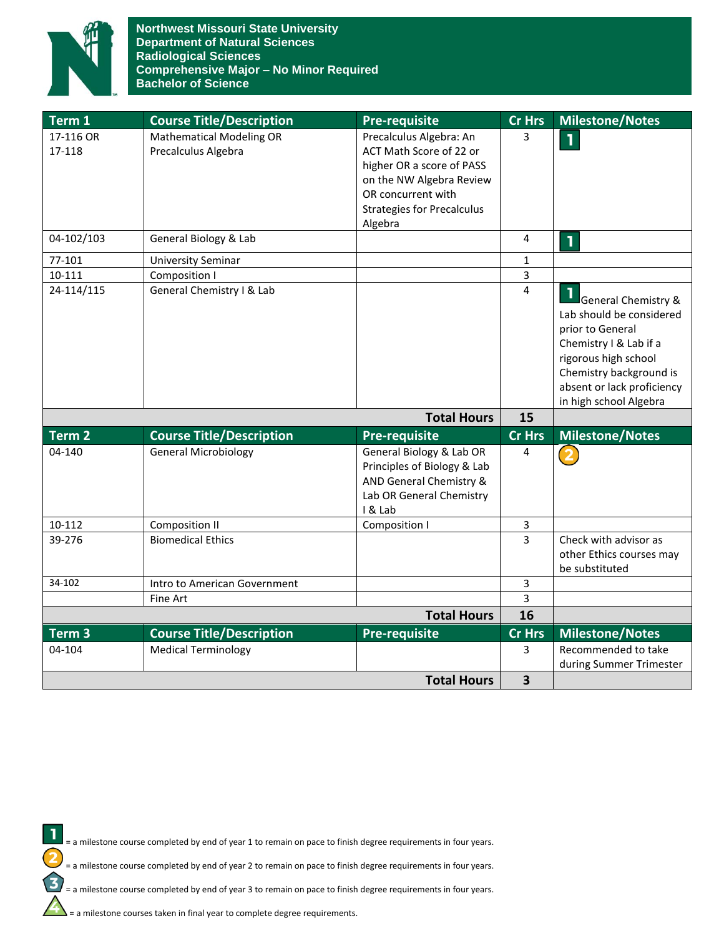

**Northwest Missouri State University Department of Natural Sciences Radiological Sciences Comprehensive Major – No Minor Required Bachelor of Science**

| Term 1             | <b>Course Title/Description</b> | <b>Pre-requisite</b>                                                                                                      | Cr Hrs                  | <b>Milestone/Notes</b>                                                                                                                                                                                              |
|--------------------|---------------------------------|---------------------------------------------------------------------------------------------------------------------------|-------------------------|---------------------------------------------------------------------------------------------------------------------------------------------------------------------------------------------------------------------|
| 17-116 OR          | <b>Mathematical Modeling OR</b> | Precalculus Algebra: An                                                                                                   | 3                       | $\mathbf{1}$                                                                                                                                                                                                        |
| 17-118             | Precalculus Algebra             | ACT Math Score of 22 or                                                                                                   |                         |                                                                                                                                                                                                                     |
|                    |                                 | higher OR a score of PASS                                                                                                 |                         |                                                                                                                                                                                                                     |
|                    |                                 | on the NW Algebra Review                                                                                                  |                         |                                                                                                                                                                                                                     |
|                    |                                 | OR concurrent with                                                                                                        |                         |                                                                                                                                                                                                                     |
|                    |                                 | <b>Strategies for Precalculus</b>                                                                                         |                         |                                                                                                                                                                                                                     |
|                    |                                 | Algebra                                                                                                                   |                         |                                                                                                                                                                                                                     |
| 04-102/103         | General Biology & Lab           |                                                                                                                           | 4                       | $\mathbf{I}$                                                                                                                                                                                                        |
| 77-101             | <b>University Seminar</b>       |                                                                                                                           | 1                       |                                                                                                                                                                                                                     |
| 10-111             | Composition I                   |                                                                                                                           | 3                       |                                                                                                                                                                                                                     |
| 24-114/115         | General Chemistry I & Lab       |                                                                                                                           | 4                       | <b>General Chemistry &amp;</b><br>Lab should be considered<br>prior to General<br>Chemistry I & Lab if a<br>rigorous high school<br>Chemistry background is<br>absent or lack proficiency<br>in high school Algebra |
|                    |                                 | <b>Total Hours</b>                                                                                                        | 15                      |                                                                                                                                                                                                                     |
| Term <sub>2</sub>  | <b>Course Title/Description</b> | Pre-requisite                                                                                                             | Cr Hrs                  | <b>Milestone/Notes</b>                                                                                                                                                                                              |
| 04-140             | <b>General Microbiology</b>     | General Biology & Lab OR<br>Principles of Biology & Lab<br>AND General Chemistry &<br>Lab OR General Chemistry<br>I & Lab | 4                       |                                                                                                                                                                                                                     |
| 10-112             | <b>Composition II</b>           | Composition I                                                                                                             | 3                       |                                                                                                                                                                                                                     |
| 39-276             | <b>Biomedical Ethics</b>        |                                                                                                                           | 3                       | Check with advisor as                                                                                                                                                                                               |
|                    |                                 |                                                                                                                           |                         | other Ethics courses may                                                                                                                                                                                            |
|                    |                                 |                                                                                                                           |                         | be substituted                                                                                                                                                                                                      |
| 34-102             | Intro to American Government    |                                                                                                                           | 3                       |                                                                                                                                                                                                                     |
|                    | Fine Art                        |                                                                                                                           | 3                       |                                                                                                                                                                                                                     |
| <b>Total Hours</b> |                                 |                                                                                                                           | 16                      |                                                                                                                                                                                                                     |
| $Term$ 3           | <b>Course Title/Description</b> | <b>Pre-requisite</b>                                                                                                      | <b>Cr Hrs</b>           | <b>Milestone/Notes</b>                                                                                                                                                                                              |
| 04-104             | <b>Medical Terminology</b>      |                                                                                                                           | 3                       | Recommended to take                                                                                                                                                                                                 |
|                    |                                 |                                                                                                                           | $\overline{\mathbf{3}}$ | during Summer Trimester                                                                                                                                                                                             |
| <b>Total Hours</b> |                                 |                                                                                                                           |                         |                                                                                                                                                                                                                     |



= a milestone course completed by end of year 2 to remain on pace to finish degree requirements in four years.

= a milestone course completed by end of year 3 to remain on pace to finish degree requirements in four years.

 $\sum$  = a milestone courses taken in final year to complete degree requirements.

2

 $\overline{\mathbf{3}}$